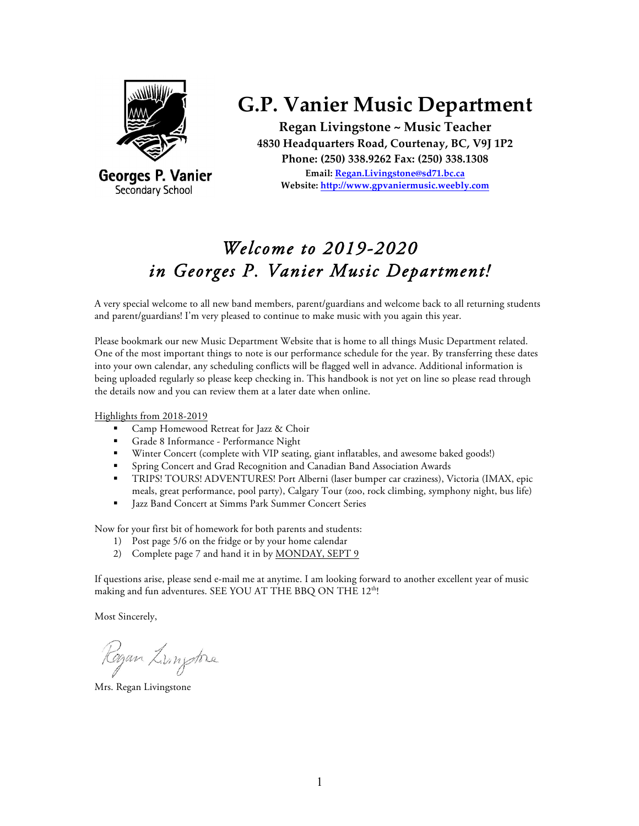

Georges P. Vanier Secondary School

# **G.P. Vanier Music Department**

**Regan Livingstone ~ Music Teacher 4830 Headquarters Road, Courtenay, BC, V9J 1P2 Phone: (250) 338.9262 Fax: (250) 338.1308 Email: Regan.Livingstone@sd71.bc.ca Website: http://www.gpvaniermusic.weebly.com**

# *Welcome to 2019-2020 in Georges P. Vanier Music Department!*

A very special welcome to all new band members, parent/guardians and welcome back to all returning students and parent/guardians! I'm very pleased to continue to make music with you again this year.

Please bookmark our new Music Department Website that is home to all things Music Department related. One of the most important things to note is our performance schedule for the year. By transferring these dates into your own calendar, any scheduling conflicts will be flagged well in advance. Additional information is being uploaded regularly so please keep checking in. This handbook is not yet on line so please read through the details now and you can review them at a later date when online.

Highlights from 2018-2019

- § Camp Homewood Retreat for Jazz & Choir
- § Grade 8 Informance Performance Night
- § Winter Concert (complete with VIP seating, giant inflatables, and awesome baked goods!)
- § Spring Concert and Grad Recognition and Canadian Band Association Awards
- § TRIPS! TOURS! ADVENTURES! Port Alberni (laser bumper car craziness), Victoria (IMAX, epic meals, great performance, pool party), Calgary Tour (zoo, rock climbing, symphony night, bus life)
- **Jazz Band Concert at Simms Park Summer Concert Series**

Now for your first bit of homework for both parents and students:

- 1) Post page 5/6 on the fridge or by your home calendar
- 2) Complete page 7 and hand it in by MONDAY, SEPT 9

If questions arise, please send e-mail me at anytime. I am looking forward to another excellent year of music making and fun adventures. SEE YOU AT THE BBQ ON THE 12<sup>th</sup>!

Most Sincerely,

Razan Zungtone

Mrs. Regan Livingstone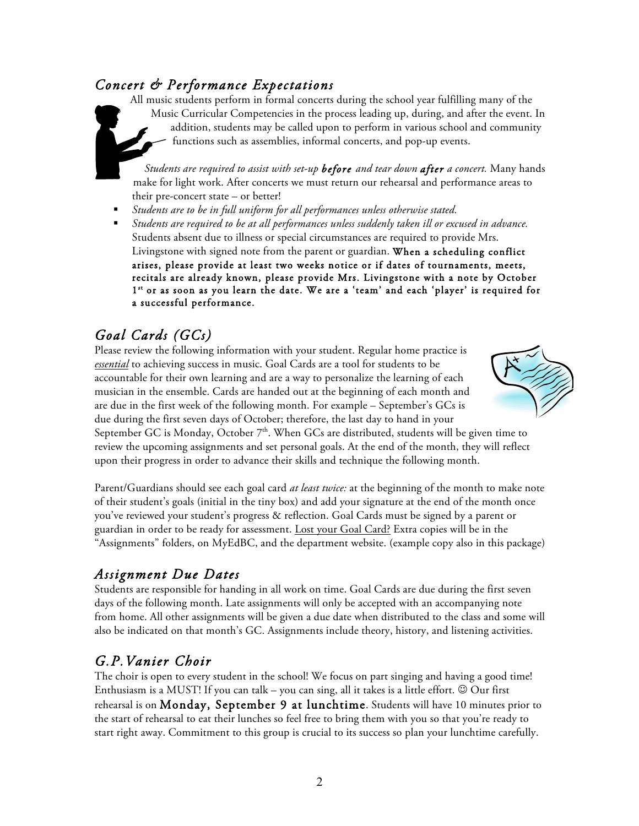## *Concert & Performance Expectations*

All music students perform in formal concerts during the school year fulfilling many of the Music Curricular Competencies in the process leading up, during, and after the event. In addition, students may be called upon to perform in various school and community functions such as assemblies, informal concerts, and pop-up events.

*Students are required to assist with set-up before and tear down after a concert.* Many hands make for light work. After concerts we must return our rehearsal and performance areas to their pre-concert state – or better!

- § *Students are to be in full uniform for all performances unless otherwise stated.*
- § *Students are required to be at all performances unless suddenly taken ill or excused in advance.* Students absent due to illness or special circumstances are required to provide Mrs. Livingstone with signed note from the parent or guardian. When a scheduling conflict arises, please provide at least two weeks notice or if dates of tournaments, meets, recitals are already known, please provide Mrs. Livingstone with a note by October 1st or as soon as you learn the date. We are a 'team' and each 'player' is required for a successful performance.

## *Goal Cards (GCs)*

Please review the following information with your student. Regular home practice is *essential* to achieving success in music. Goal Cards are a tool for students to be accountable for their own learning and are a way to personalize the learning of each musician in the ensemble. Cards are handed out at the beginning of each month and are due in the first week of the following month. For example – September's GCs is due during the first seven days of October; therefore, the last day to hand in your



September GC is Monday, October  $7<sup>th</sup>$ . When GCs are distributed, students will be given time to review the upcoming assignments and set personal goals. At the end of the month, they will reflect upon their progress in order to advance their skills and technique the following month.

Parent/Guardians should see each goal card *at least twice:* at the beginning of the month to make note of their student's goals (initial in the tiny box) and add your signature at the end of the month once you've reviewed your student's progress & reflection. Goal Cards must be signed by a parent or guardian in order to be ready for assessment. Lost your Goal Card? Extra copies will be in the "Assignments" folders, on MyEdBC, and the department website. (example copy also in this package)

## *Assignment Due Dates*

Students are responsible for handing in all work on time. Goal Cards are due during the first seven days of the following month. Late assignments will only be accepted with an accompanying note from home. All other assignments will be given a due date when distributed to the class and some will also be indicated on that month's GC. Assignments include theory, history, and listening activities.

## *G.P.Vanier Choir*

The choir is open to every student in the school! We focus on part singing and having a good time! Enthusiasm is a MUST! If you can talk – you can sing, all it takes is a little effort.  $\odot$  Our first rehearsal is on Monday, September 9 at lunchtime. Students will have 10 minutes prior to the start of rehearsal to eat their lunches so feel free to bring them with you so that you're ready to start right away. Commitment to this group is crucial to its success so plan your lunchtime carefully.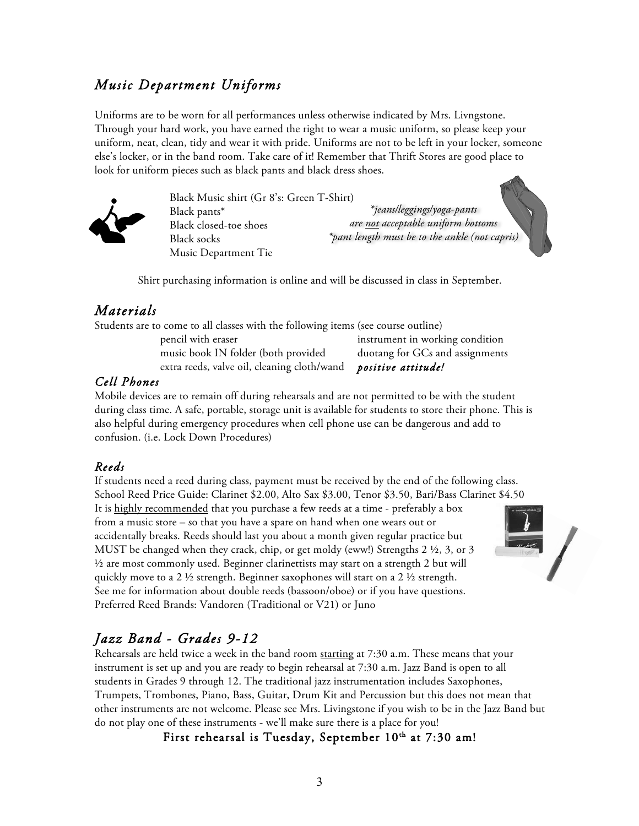## *Music Department Uniforms*

Uniforms are to be worn for all performances unless otherwise indicated by Mrs. Livngstone. Through your hard work, you have earned the right to wear a music uniform, so please keep your uniform, neat, clean, tidy and wear it with pride. Uniforms are not to be left in your locker, someone else's locker, or in the band room. Take care of it! Remember that Thrift Stores are good place to look for uniform pieces such as black pants and black dress shoes.



Black Music shirt (Gr 8's: Green T-Shirt) Black pants\* Black closed-toe shoes Black socks Music Department Tie

*\*jeans/leggings/yoga-pants are not acceptable uniform bottoms \*pant length must be to the ankle (not capris)*



Shirt purchasing information is online and will be discussed in class in September.

### *Materials*

Students are to come to all classes with the following items (see course outline)

music book IN folder (both provided duotang for GCs and assignments extra reeds, valve oil, cleaning cloth/wand *positive attitude!*

pencil with eraser instrument in working condition

### *Cell Phones*

Mobile devices are to remain off during rehearsals and are not permitted to be with the student during class time. A safe, portable, storage unit is available for students to store their phone. This is also helpful during emergency procedures when cell phone use can be dangerous and add to confusion. (i.e. Lock Down Procedures)

### *Reeds*

If students need a reed during class, payment must be received by the end of the following class. School Reed Price Guide: Clarinet \$2.00, Alto Sax \$3.00, Tenor \$3.50, Bari/Bass Clarinet \$4.50 It is highly recommended that you purchase a few reeds at a time - preferably a box

from a music store – so that you have a spare on hand when one wears out or accidentally breaks. Reeds should last you about a month given regular practice but MUST be changed when they crack, chip, or get moldy (eww!) Strengths 2 ½, 3, or 3 ½ are most commonly used. Beginner clarinettists may start on a strength 2 but will quickly move to a 2 ½ strength. Beginner saxophones will start on a 2 ½ strength. See me for information about double reeds (bassoon/oboe) or if you have questions. Preferred Reed Brands: Vandoren (Traditional or V21) or Juno



## *Jazz Band - Grades 9-12*

Rehearsals are held twice a week in the band room starting at 7:30 a.m. These means that your instrument is set up and you are ready to begin rehearsal at 7:30 a.m. Jazz Band is open to all students in Grades 9 through 12. The traditional jazz instrumentation includes Saxophones, Trumpets, Trombones, Piano, Bass, Guitar, Drum Kit and Percussion but this does not mean that other instruments are not welcome. Please see Mrs. Livingstone if you wish to be in the Jazz Band but do not play one of these instruments - we'll make sure there is a place for you!

First rehearsal is Tuesday, September 10<sup>th</sup> at 7:30 am!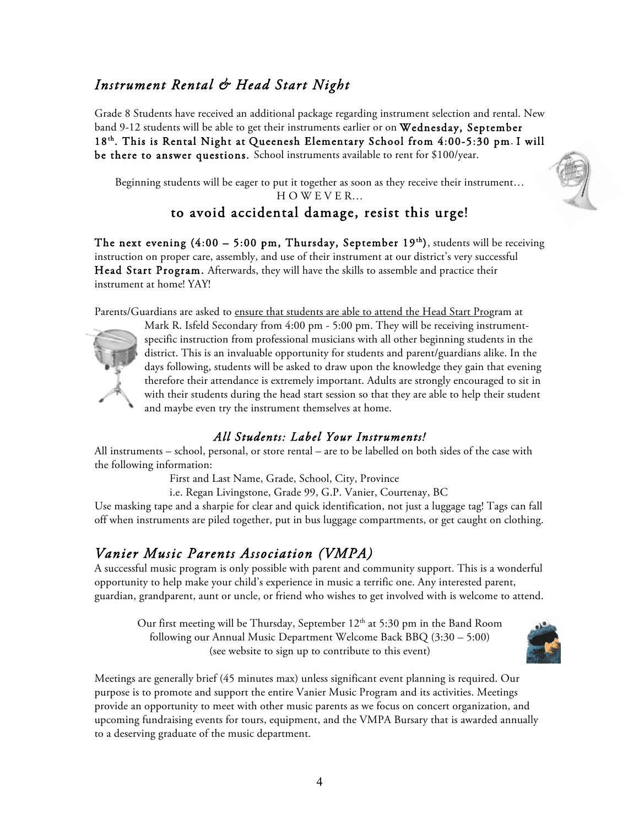## *Instrument Rental & Head Start Night*

Grade 8 Students have received an additional package regarding instrument selection and rental. New band 9-12 students will be able to get their instruments earlier or on Wednesday, September 18th. This is Rental Night at Queenesh Elementary School from 4:00-5:30 pm. I will be there to answer questions. School instruments available to rent for \$100/year.

Beginning students will be eager to put it together as soon as they receive their instrument… H O W E V E R…

## to avoid accidental damage, resist this urge!

The next evening  $(4:00 - 5:00 \text{ pm},$  Thursday, September 19<sup>th</sup>), students will be receiving instruction on proper care, assembly, and use of their instrument at our district's very successful Head Start Program. Afterwards, they will have the skills to assemble and practice their instrument at home! YAY!

Parents/Guardians are asked to ensure that students are able to attend the Head Start Program at



Mark R. Isfeld Secondary from 4:00 pm - 5:00 pm. They will be receiving instrumentspecific instruction from professional musicians with all other beginning students in the district. This is an invaluable opportunity for students and parent/guardians alike. In the days following, students will be asked to draw upon the knowledge they gain that evening therefore their attendance is extremely important. Adults are strongly encouraged to sit in with their students during the head start session so that they are able to help their student and maybe even try the instrument themselves at home.

### *All Students: Label Your Instruments!*

All instruments – school, personal, or store rental – are to be labelled on both sides of the case with the following information:

First and Last Name, Grade, School, City, Province

i.e. Regan Livingstone, Grade 99, G.P. Vanier, Courtenay, BC

Use masking tape and a sharpie for clear and quick identification, not just a luggage tag! Tags can fall off when instruments are piled together, put in bus luggage compartments, or get caught on clothing.

### *Vanier Music Parents Association (VMPA)*

A successful music program is only possible with parent and community support. This is a wonderful opportunity to help make your child's experience in music a terrific one. Any interested parent, guardian, grandparent, aunt or uncle, or friend who wishes to get involved with is welcome to attend.

Our first meeting will be Thursday, September  $12<sup>th</sup>$  at 5:30 pm in the Band Room following our Annual Music Department Welcome Back BBQ (3:30 – 5:00) (see website to sign up to contribute to this event)



Meetings are generally brief (45 minutes max) unless significant event planning is required. Our purpose is to promote and support the entire Vanier Music Program and its activities. Meetings provide an opportunity to meet with other music parents as we focus on concert organization, and upcoming fundraising events for tours, equipment, and the VMPA Bursary that is awarded annually to a deserving graduate of the music department.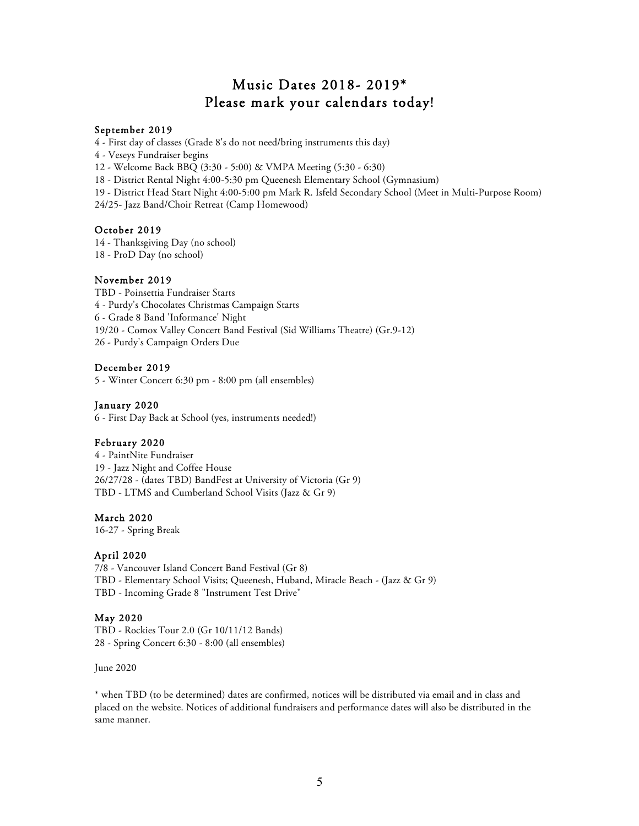## Music Dates 2018- 2019\* Please mark your calendars today!

### September 2019

4 - First day of classes (Grade 8's do not need/bring instruments this day)

4 - Veseys Fundraiser begins

12 - Welcome Back BBQ (3:30 - 5:00) & VMPA Meeting (5:30 - 6:30)

18 - District Rental Night 4:00-5:30 pm Queenesh Elementary School (Gymnasium)

19 - District Head Start Night 4:00-5:00 pm Mark R. Isfeld Secondary School (Meet in Multi-Purpose Room)

24/25- Jazz Band/Choir Retreat (Camp Homewood)

### October 2019

14 - Thanksgiving Day (no school) 18 - ProD Day (no school)

#### November 2019

TBD - Poinsettia Fundraiser Starts 4 - Purdy's Chocolates Christmas Campaign Starts 6 - Grade 8 Band 'Informance' Night 19/20 - Comox Valley Concert Band Festival (Sid Williams Theatre) (Gr.9-12) 26 - Purdy's Campaign Orders Due

#### December 2019

5 - Winter Concert 6:30 pm - 8:00 pm (all ensembles)

#### January 2020

6 - First Day Back at School (yes, instruments needed!)

### February 2020

4 - PaintNite Fundraiser 19 - Jazz Night and Coffee House 26/27/28 - (dates TBD) BandFest at University of Victoria (Gr 9) TBD - LTMS and Cumberland School Visits (Jazz & Gr 9)

### March 2020

16-27 - Spring Break

#### April 2020

7/8 - Vancouver Island Concert Band Festival (Gr 8) TBD - Elementary School Visits; Queenesh, Huband, Miracle Beach - (Jazz & Gr 9) TBD - Incoming Grade 8 "Instrument Test Drive"

### May 2020

TBD - Rockies Tour 2.0 (Gr 10/11/12 Bands) 28 - Spring Concert 6:30 - 8:00 (all ensembles)

June 2020

\* when TBD (to be determined) dates are confirmed, notices will be distributed via email and in class and placed on the website. Notices of additional fundraisers and performance dates will also be distributed in the same manner.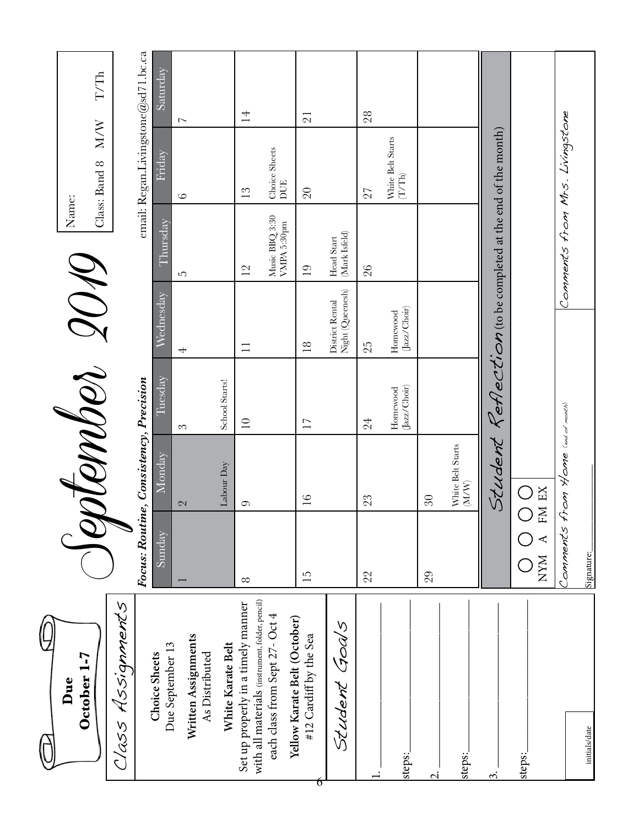| October 1-7<br>Due                                                                    |                 |                                                       | Nomber 2019              |                                     | Name:                                                           |                                                 |                           |
|---------------------------------------------------------------------------------------|-----------------|-------------------------------------------------------|--------------------------|-------------------------------------|-----------------------------------------------------------------|-------------------------------------------------|---------------------------|
|                                                                                       |                 |                                                       |                          |                                     |                                                                 | M/W<br>Class: Band 8                            | $\rm T/Th$                |
| Assignments<br>1250                                                                   |                 |                                                       |                          |                                     |                                                                 |                                                 |                           |
|                                                                                       |                 | Focus: Routine, Consistency, Precision                |                          |                                     |                                                                 | email: Regan.Livingstone@sd71.bc.ca             |                           |
| Due September 13<br>Choice Sheets                                                     | Sunday          | Monday                                                | Luesday                  | Wednesday                           | Thursday                                                        | Friday                                          | $\operatorname{Saturday}$ |
| Written Assignments<br>As Distributed                                                 |                 | $\mathbb{C}$                                          | 3                        | $\overline{\phantom{0}}$            | ഗ                                                               | $\circ$                                         | $\overline{ }$            |
| White Karate Belt                                                                     |                 | Labour Day                                            | School Starts!           |                                     |                                                                 |                                                 |                           |
| with all materials (instrument, folder, pencil)<br>Set up properly in a timely manner | $\infty$        | 0                                                     | $\supseteq$              | $\equiv$                            | 12                                                              | $\frac{2}{3}$                                   | $\overline{1}$            |
| each class from Sept 27- Oct 4                                                        |                 |                                                       |                          |                                     | Music BBQ 3:30<br>VMPA 5:30pm                                   | Choice Sheets<br>DUE                            |                           |
| Yellow Karate Belt (October)<br>#12 Cardiff by the Sea<br>ნ                           | $\overline{15}$ | $\frac{6}{1}$                                         | $\overline{17}$          | $\overline{18}$                     | $\overline{0}$                                                  | $\overline{20}$                                 | $\overline{21}$           |
| Student Goals                                                                         |                 |                                                       |                          | Night (Queenesh)<br>District Rental | (Mark Isfeld)<br>Head Start                                     |                                                 |                           |
|                                                                                       | 22              | 23                                                    | 24                       | 25                                  | 26                                                              | 27                                              | 28                        |
| steps:                                                                                |                 |                                                       | (Jazz/Choir)<br>Homewood | Jazz/Choir)<br>Homewood             |                                                                 | White Belt Starts<br>$\left(\text{T/Th}\right)$ |                           |
| $\overline{q}$                                                                        | 29              | $30\,$                                                |                          |                                     |                                                                 |                                                 |                           |
| steps:                                                                                |                 | White Belt Starts<br>$\left(\text{M}/\text{M}\right)$ |                          |                                     |                                                                 |                                                 |                           |
| $\dot{\mathfrak{D}}$                                                                  |                 |                                                       |                          |                                     | Student $K$ eflection (to be completed at the end of the month) |                                                 |                           |
| steps:                                                                                | <b>NYM</b>      | $\bigcirc$<br>FM EX                                   |                          |                                     |                                                                 |                                                 |                           |
| initials/date                                                                         | Signature:      | Comments from Home (end of month)                     |                          |                                     | Comments from Mrs. Livingstone                                  |                                                 |                           |
|                                                                                       |                 |                                                       |                          |                                     |                                                                 |                                                 |                           |